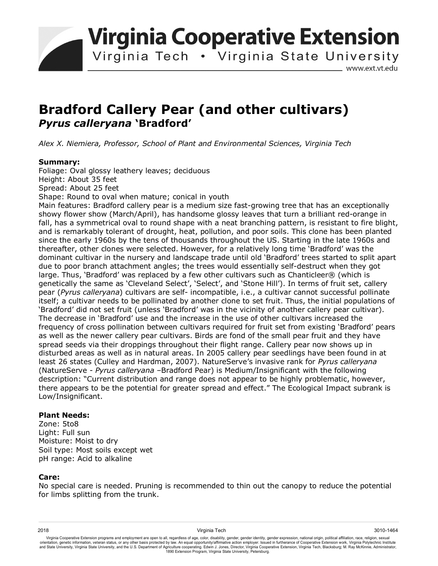**Virginia Cooperative Extension** 

Virginia Tech . Virginia State University

www.ext.vt.edu

# **Bradford Callery Pear (and other cultivars)**  *Pyrus calleryana* **'Bradford'**

*Alex X. Niemiera, Professor, School of Plant and Environmental Sciences, Virginia Tech* 

### **Summary:**

Foliage: Oval glossy leathery leaves; deciduous Height: About 35 feet Spread: About 25 feet Shape: Round to oval when mature; conical in youth Main features: Bradford callery pear is a medium size fast-growing tree that has an exceptionally showy flower show (March/April), has handsome glossy leaves that turn a brilliant red-orange in fall, has a symmetrical oval to round shape with a neat branching pattern, is resistant to fire blight, and is remarkably tolerant of drought, heat, pollution, and poor soils. This clone has been planted since the early 1960s by the tens of thousands throughout the US. Starting in the late 1960s and thereafter, other clones were selected. However, for a relatively long time 'Bradford' was the dominant cultivar in the nursery and landscape trade until old 'Bradford' trees started to split apart due to poor branch attachment angles; the trees would essentially self-destruct when they got large. Thus, 'Bradford' was replaced by a few other cultivars such as Chanticleer® (which is genetically the same as 'Cleveland Select', 'Select', and 'Stone Hill'). In terms of fruit set, callery pear (*Pyrus calleryana*) cultivars are self- incompatible, i.e., a cultivar cannot successful pollinate itself; a cultivar needs to be pollinated by another clone to set fruit. Thus, the initial populations of 'Bradford' did not set fruit (unless 'Bradford' was in the vicinity of another callery pear cultivar). The decrease in 'Bradford' use and the increase in the use of other cultivars increased the frequency of cross pollination between cultivars required for fruit set from existing 'Bradford' pears as well as the newer callery pear cultivars. Birds are fond of the small pear fruit and they have spread seeds via their droppings throughout their flight range. Callery pear now shows up in disturbed areas as well as in natural areas. In 2005 callery pear seedlings have been found in at least 26 states (Culley and Hardman, 2007). NatureServe's invasive rank for *Pyrus calleryana*  (NatureServe - *Pyrus calleryana* –Bradford Pear) is Medium/Insignificant with the following description: "Current distribution and range does not appear to be highly problematic, however, there appears to be the potential for greater spread and effect." The Ecological Impact subrank is Low/Insignificant.

## **Plant Needs:**

Zone: 5to8 Light: Full sun Moisture: Moist to dry Soil type: Most soils except wet pH range: Acid to alkaline

### **Care:**

No special care is needed. Pruning is recommended to thin out the canopy to reduce the potential for limbs splitting from the trunk.

Virginia Cooperative Extension programs and employment are open to all, regardless of age, color, disability, gender, gender identity, gender expression, national origin, political affiliation, race, religion, sexual orientation, genetic information, veteran status, or any other basis protected by law. An equal opportunity/affirmative action employer. Issued in furtherance of Cooperative Extension work, Virginia Polytechnic Institute<br>a 1890 Extension Program, Virginia State University, Petersburg.